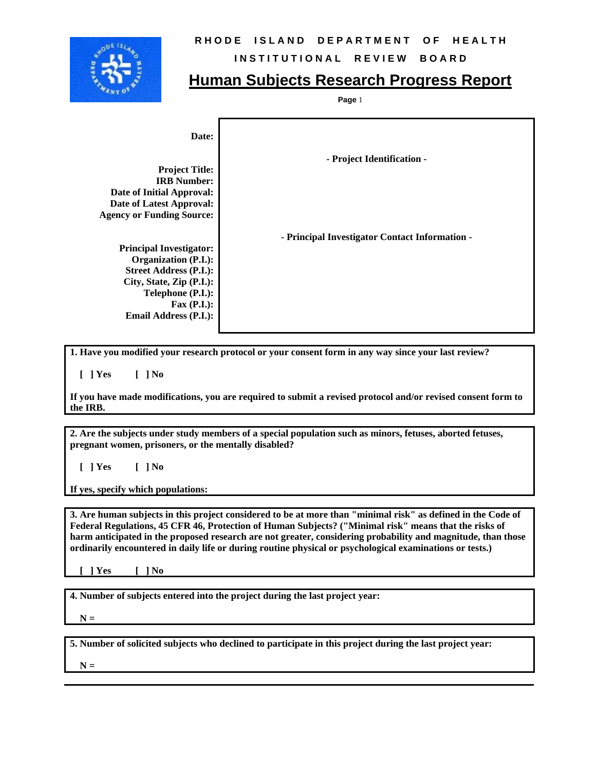

## **RHODE ISLAND DEPARTMENT OF HEALTH**

## **INSTITUTIONAL REVIEW BOARD**

## **Human Subjects Research Progress Report**

**Page** 1

| Date:<br><b>Project Title:</b><br><b>IRB Number:</b>                                                                       | - Project Identification -                     |
|----------------------------------------------------------------------------------------------------------------------------|------------------------------------------------|
| <b>Date of Initial Approval:</b>                                                                                           |                                                |
| Date of Latest Approval:                                                                                                   |                                                |
| <b>Agency or Funding Source:</b>                                                                                           |                                                |
| <b>Principal Investigator:</b><br><b>Organization (P.I.):</b><br><b>Street Address (P.I.):</b><br>City, State, Zip (P.I.): | - Principal Investigator Contact Information - |
|                                                                                                                            |                                                |
| Telephone (P.I.):<br>$\text{Fax (P.I.)}:$                                                                                  |                                                |
|                                                                                                                            |                                                |
| Email Address (P.I.):                                                                                                      |                                                |

**1. Have you modified your research protocol or your consent form in any way since your last review?** 

 **[ ] Yes [ ] No** 

**If you have made modifications, you are required to submit a revised protocol and/or revised consent form to the IRB.** 

**2. Are the subjects under study members of a special population such as minors, fetuses, aborted fetuses, pregnant women, prisoners, or the mentally disabled?** 

 **[ ] Yes [ ] No** 

**If yes, specify which populations:** 

**3. Are human subjects in this project considered to be at more than "minimal risk" as defined in the Code of Federal Regulations, 45 CFR 46, Protection of Human Subjects? ("Minimal risk" means that the risks of harm anticipated in the proposed research are not greater, considering probability and magnitude, than those ordinarily encountered in daily life or during routine physical or psychological examinations or tests.)** 

 **[ ] Yes [ ] No** 

**4. Number of subjects entered into the project during the last project year:** 

 $N =$ 

**5. Number of solicited subjects who declined to participate in this project during the last project year:** 

 $N =$